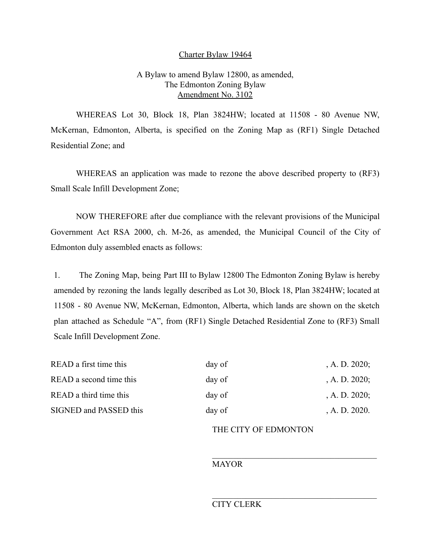## Charter Bylaw 19464

## A Bylaw to amend Bylaw 12800, as amended, The Edmonton Zoning Bylaw Amendment No. 3102

WHEREAS Lot 30, Block 18, Plan 3824HW; located at 11508 - 80 Avenue NW, McKernan, Edmonton, Alberta, is specified on the Zoning Map as (RF1) Single Detached Residential Zone; and

WHEREAS an application was made to rezone the above described property to (RF3) Small Scale Infill Development Zone;

NOW THEREFORE after due compliance with the relevant provisions of the Municipal Government Act RSA 2000, ch. M-26, as amended, the Municipal Council of the City of Edmonton duly assembled enacts as follows:

1. The Zoning Map, being Part III to Bylaw 12800 The Edmonton Zoning Bylaw is hereby amended by rezoning the lands legally described as Lot 30, Block 18, Plan 3824HW; located at 11508 - 80 Avenue NW, McKernan, Edmonton, Alberta, which lands are shown on the sketch plan attached as Schedule "A", from (RF1) Single Detached Residential Zone to (RF3) Small Scale Infill Development Zone.

| READ a first time this  | day of | , A. D. $2020$ ; |
|-------------------------|--------|------------------|
| READ a second time this | day of | , A. D. $2020$ ; |
| READ a third time this  | day of | , A. D. $2020$ ; |
| SIGNED and PASSED this  | day of | , A. D. 2020.    |

## THE CITY OF EDMONTON

**MAYOR** 

## CITY CLERK